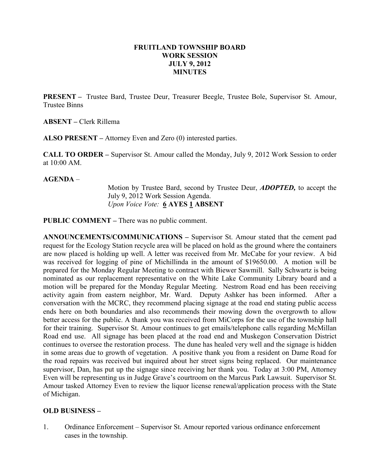## FRUITLAND TOWNSHIP BOARD WORK SESSION JULY 9, 2012 MINUTES

PRESENT – Trustee Bard, Trustee Deur, Treasurer Beegle, Trustee Bole, Supervisor St. Amour, Trustee Binns

ABSENT – Clerk Rillema

ALSO PRESENT – Attorney Even and Zero (0) interested parties.

CALL TO ORDER – Supervisor St. Amour called the Monday, July 9, 2012 Work Session to order at  $10:00$  AM

AGENDA –

Motion by Trustee Bard, second by Trustee Deur, ADOPTED, to accept the July 9, 2012 Work Session Agenda. Upon Voice Vote: 6 AYES 1 ABSENT

PUBLIC COMMENT – There was no public comment.

ANNOUNCEMENTS/COMMUNICATIONS – Supervisor St. Amour stated that the cement pad request for the Ecology Station recycle area will be placed on hold as the ground where the containers are now placed is holding up well. A letter was received from Mr. McCabe for your review. A bid was received for logging of pine of Michillinda in the amount of \$19650.00. A motion will be prepared for the Monday Regular Meeting to contract with Biewer Sawmill. Sally Schwartz is being nominated as our replacement representative on the White Lake Community Library board and a motion will be prepared for the Monday Regular Meeting. Nestrom Road end has been receiving activity again from eastern neighbor, Mr. Ward. Deputy Ashker has been informed. After a conversation with the MCRC, they recommend placing signage at the road end stating public access ends here on both boundaries and also recommends their mowing down the overgrowth to allow better access for the public. A thank you was received from MiCorps for the use of the township hall for their training. Supervisor St. Amour continues to get emails/telephone calls regarding McMillan Road end use. All signage has been placed at the road end and Muskegon Conservation District continues to oversee the restoration process. The dune has healed very well and the signage is hidden in some areas due to growth of vegetation. A positive thank you from a resident on Dame Road for the road repairs was received but inquired about her street signs being replaced. Our maintenance supervisor, Dan, has put up the signage since receiving her thank you. Today at 3:00 PM, Attorney Even will be representing us in Judge Grave's courtroom on the Marcus Park Lawsuit. Supervisor St. Amour tasked Attorney Even to review the liquor license renewal/application process with the State of Michigan.

## OLD BUSINESS –

1. Ordinance Enforcement – Supervisor St. Amour reported various ordinance enforcement cases in the township.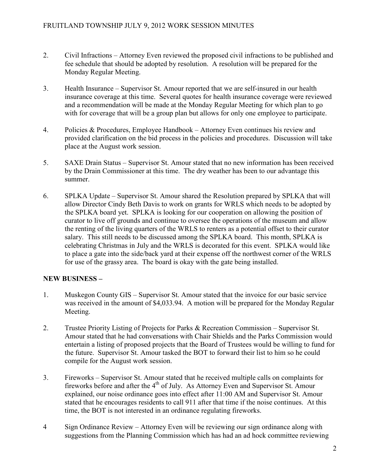- 2. Civil Infractions Attorney Even reviewed the proposed civil infractions to be published and fee schedule that should be adopted by resolution. A resolution will be prepared for the Monday Regular Meeting.
- 3. Health Insurance Supervisor St. Amour reported that we are self-insured in our health insurance coverage at this time. Several quotes for health insurance coverage were reviewed and a recommendation will be made at the Monday Regular Meeting for which plan to go with for coverage that will be a group plan but allows for only one employee to participate.
- 4. Policies & Procedures, Employee Handbook Attorney Even continues his review and provided clarification on the bid process in the policies and procedures. Discussion will take place at the August work session.
- 5. SAXE Drain Status Supervisor St. Amour stated that no new information has been received by the Drain Commissioner at this time. The dry weather has been to our advantage this summer.
- 6. SPLKA Update Supervisor St. Amour shared the Resolution prepared by SPLKA that will allow Director Cindy Beth Davis to work on grants for WRLS which needs to be adopted by the SPLKA board yet. SPLKA is looking for our cooperation on allowing the position of curator to live off grounds and continue to oversee the operations of the museum and allow the renting of the living quarters of the WRLS to renters as a potential offset to their curator salary. This still needs to be discussed among the SPLKA board. This month, SPLKA is celebrating Christmas in July and the WRLS is decorated for this event. SPLKA would like to place a gate into the side/back yard at their expense off the northwest corner of the WRLS for use of the grassy area. The board is okay with the gate being installed.

## NEW BUSINESS –

- 1. Muskegon County GIS Supervisor St. Amour stated that the invoice for our basic service was received in the amount of \$4,033.94. A motion will be prepared for the Monday Regular Meeting.
- 2. Trustee Priority Listing of Projects for Parks & Recreation Commission Supervisor St. Amour stated that he had conversations with Chair Shields and the Parks Commission would entertain a listing of proposed projects that the Board of Trustees would be willing to fund for the future. Supervisor St. Amour tasked the BOT to forward their list to him so he could compile for the August work session.
- 3. Fireworks Supervisor St. Amour stated that he received multiple calls on complaints for fireworks before and after the 4<sup>th</sup> of July. As Attorney Even and Supervisor St. Amour explained, our noise ordinance goes into effect after 11:00 AM and Supervisor St. Amour stated that he encourages residents to call 911 after that time if the noise continues. At this time, the BOT is not interested in an ordinance regulating fireworks.
- 4 Sign Ordinance Review Attorney Even will be reviewing our sign ordinance along with suggestions from the Planning Commission which has had an ad hock committee reviewing